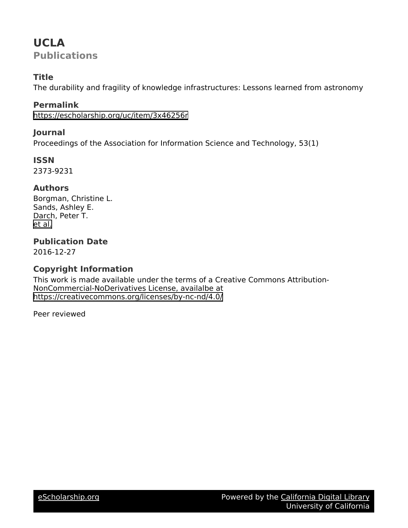# **UCLA Publications**

# **Title**

The durability and fragility of knowledge infrastructures: Lessons learned from astronomy

# **Permalink**

<https://escholarship.org/uc/item/3x46256r>

# **Journal**

Proceedings of the Association for Information Science and Technology, 53(1)

**ISSN**

2373-9231

# **Authors**

Borgman, Christine L. Sands, Ashley E. Darch, Peter T. [et al.](https://escholarship.org/uc/item/3x46256r#author)

# **Publication Date**

2016-12-27

# **Copyright Information**

This work is made available under the terms of a Creative Commons Attribution-NonCommercial-NoDerivatives License, availalbe at <https://creativecommons.org/licenses/by-nc-nd/4.0/>

Peer reviewed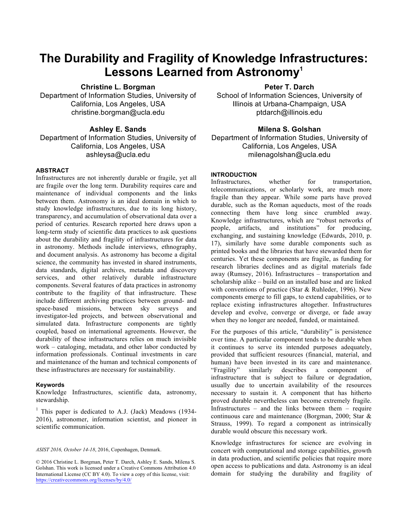# **The Durability and Fragility of Knowledge Infrastructures:**  Lessons Learned from Astronomy<sup>1</sup>

**Christine L. Borgman**

Department of Information Studies, University of California, Los Angeles, USA christine.borgman@ucla.edu

# **Ashley E. Sands**

Department of Information Studies, University of California, Los Angeles, USA ashleysa@ucla.edu

#### **ABSTRACT**

Infrastructures are not inherently durable or fragile, yet all are fragile over the long term. Durability requires care and maintenance of individual components and the links between them. Astronomy is an ideal domain in which to study knowledge infrastructures, due to its long history, transparency, and accumulation of observational data over a period of centuries. Research reported here draws upon a long-term study of scientific data practices to ask questions about the durability and fragility of infrastructures for data in astronomy. Methods include interviews, ethnography, and document analysis. As astronomy has become a digital science, the community has invested in shared instruments, data standards, digital archives, metadata and discovery services, and other relatively durable infrastructure components. Several features of data practices in astronomy contribute to the fragility of that infrastructure. These include different archiving practices between ground- and space-based missions, between sky surveys and investigator-led projects, and between observational and simulated data. Infrastructure components are tightly coupled, based on international agreements. However, the durability of these infrastructures relies on much invisible work – cataloging, metadata, and other labor conducted by information professionals. Continual investments in care and maintenance of the human and technical components of these infrastructures are necessary for sustainability.

#### **Keywords**

Knowledge Infrastructures, scientific data, astronomy, stewardship.

 $1$  This paper is dedicated to A.J. (Jack) Meadows (1934-2016), astronomer, information scientist, and pioneer in scientific communication.

*ASIST 2016, October 14-18*, 2016, Copenhagen, Denmark.

© 2016 Christine L. Borgman, Peter T. Darch, Ashley E. Sands, Milena S. Golshan. This work is licensed under a Creative Commons Attribution 4.0 International License (CC BY 4.0). To view a copy of this license, visit: https://creativecommons.org/licenses/by/4.0/

# **Peter T. Darch**

School of Information Sciences, University of Illinois at Urbana-Champaign, USA ptdarch@illinois.edu

# **Milena S. Golshan**

Department of Information Studies, University of California, Los Angeles, USA milenagolshan@ucla.edu

# **INTRODUCTION**

Infrastructures, whether for transportation, telecommunications, or scholarly work, are much more fragile than they appear. While some parts have proved durable, such as the Roman aqueducts, most of the roads connecting them have long since crumbled away. Knowledge infrastructures, which are "robust networks of people, artifacts, and institutions" for producing, exchanging, and sustaining knowledge (Edwards, 2010, p. 17), similarly have some durable components such as printed books and the libraries that have stewarded them for centuries. Yet these components are fragile, as funding for research libraries declines and as digital materials fade away (Rumsey, 2016). Infrastructures – transportation and scholarship alike – build on an installed base and are linked with conventions of practice (Star & Ruhleder, 1996). New components emerge to fill gaps, to extend capabilities, or to replace existing infrastructures altogether. Infrastructures develop and evolve, converge or diverge, or fade away when they no longer are needed, funded, or maintained.

For the purposes of this article, "durability" is persistence over time. A particular component tends to be durable when it continues to serve its intended purposes adequately, provided that sufficient resources (financial, material, and human) have been invested in its care and maintenance. "Fragility" similarly describes a component of infrastructure that is subject to failure or degradation, usually due to uncertain availability of the resources necessary to sustain it. A component that has hitherto proved durable nevertheless can become extremely fragile. Infrastructures – and the links between them – require continuous care and maintenance (Borgman, 2000; Star & Strauss, 1999). To regard a component as intrinsically durable would obscure this necessary work.

Knowledge infrastructures for science are evolving in concert with computational and storage capabilities, growth in data production, and scientific policies that require more open access to publications and data. Astronomy is an ideal domain for studying the durability and fragility of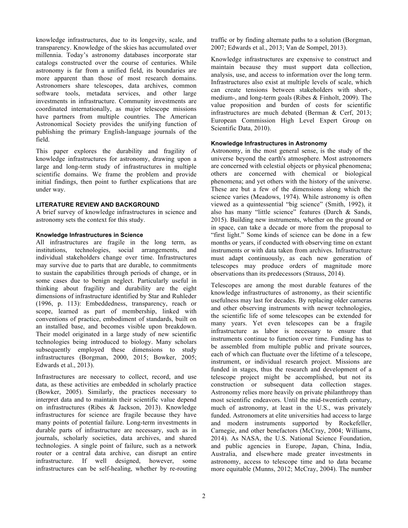knowledge infrastructures, due to its longevity, scale, and transparency. Knowledge of the skies has accumulated over millennia. Today's astronomy databases incorporate star catalogs constructed over the course of centuries. While astronomy is far from a unified field, its boundaries are more apparent than those of most research domains. Astronomers share telescopes, data archives, common software tools, metadata services, and other large investments in infrastructure. Community investments are coordinated internationally, as major telescope missions have partners from multiple countries. The American Astronomical Society provides the unifying function of publishing the primary English-language journals of the field.

This paper explores the durability and fragility of knowledge infrastructures for astronomy, drawing upon a large and long-term study of infrastructures in multiple scientific domains. We frame the problem and provide initial findings, then point to further explications that are under way.

## **LITERATURE REVIEW AND BACKGROUND**

A brief survey of knowledge infrastructures in science and astronomy sets the context for this study.

# **Knowledge Infrastructures in Science**

All infrastructures are fragile in the long term, as institutions, technologies, social arrangements, and individual stakeholders change over time. Infrastructures may survive due to parts that are durable, to commitments to sustain the capabilities through periods of change, or in some cases due to benign neglect. Particularly useful in thinking about fragility and durability are the eight dimensions of infrastructure identified by Star and Ruhleder (1996, p. 113): Embeddedness, transparency, reach or scope, learned as part of membership, linked with conventions of practice, embodiment of standards, built on an installed base, and becomes visible upon breakdown. Their model originated in a large study of new scientific technologies being introduced to biology. Many scholars subsequently employed these dimensions to study infrastructures (Borgman, 2000, 2015; Bowker, 2005; Edwards et al., 2013).

Infrastructures are necessary to collect, record, and use data, as these activities are embedded in scholarly practice (Bowker, 2005). Similarly, the practices necessary to interpret data and to maintain their scientific value depend on infrastructures (Ribes & Jackson, 2013). Knowledge infrastructures for science are fragile because they have many points of potential failure. Long-term investments in durable parts of infrastructure are necessary, such as in journals, scholarly societies, data archives, and shared technologies. A single point of failure, such as a network router or a central data archive, can disrupt an entire infrastructure. If well designed, however, some infrastructures can be self-healing, whether by re-routing

traffic or by finding alternate paths to a solution (Borgman, 2007; Edwards et al., 2013; Van de Sompel, 2013).

Knowledge infrastructures are expensive to construct and maintain because they must support data collection, analysis, use, and access to information over the long term. Infrastructures also exist at multiple levels of scale, which can create tensions between stakeholders with short-, medium-, and long-term goals (Ribes & Finholt, 2009). The value proposition and burden of costs for scientific infrastructures are much debated (Berman & Cerf, 2013; European Commission High Level Expert Group on Scientific Data, 2010).

## **Knowledge Infrastructures in Astronomy**

Astronomy, in the most general sense, is the study of the universe beyond the earth's atmosphere. Most astronomers are concerned with celestial objects or physical phenomena; others are concerned with chemical or biological phenomena; and yet others with the history of the universe. These are but a few of the dimensions along which the science varies (Meadows, 1974). While astronomy is often viewed as a quintessential "big science" (Smith, 1992), it also has many "little science" features (Darch & Sands, 2015). Building new instruments, whether on the ground or in space, can take a decade or more from the proposal to "first light." Some kinds of science can be done in a few months or years, if conducted with observing time on extant instruments or with data taken from archives. Infrastructure must adapt continuously, as each new generation of telescopes may produce orders of magnitude more observations than its predecessors (Strauss, 2014).

Telescopes are among the most durable features of the knowledge infrastructures of astronomy, as their scientific usefulness may last for decades. By replacing older cameras and other observing instruments with newer technologies, the scientific life of some telescopes can be extended for many years. Yet even telescopes can be a fragile infrastructure as labor is necessary to ensure that instruments continue to function over time. Funding has to be assembled from multiple public and private sources, each of which can fluctuate over the lifetime of a telescope, instrument, or individual research project. Missions are funded in stages, thus the research and development of a telescope project might be accomplished, but not its construction or subsequent data collection stages. Astronomy relies more heavily on private philanthropy than most scientific endeavors. Until the mid-twentieth century, much of astronomy, at least in the U.S., was privately funded. Astronomers at elite universities had access to large and modern instruments supported by Rockefeller, Carnegie, and other benefactors (McCray, 2004; Williams, 2014). As NASA, the U.S. National Science Foundation, and public agencies in Europe, Japan, China, India, Australia, and elsewhere made greater investments in astronomy, access to telescope time and to data became more equitable (Munns, 2012; McCray, 2004). The number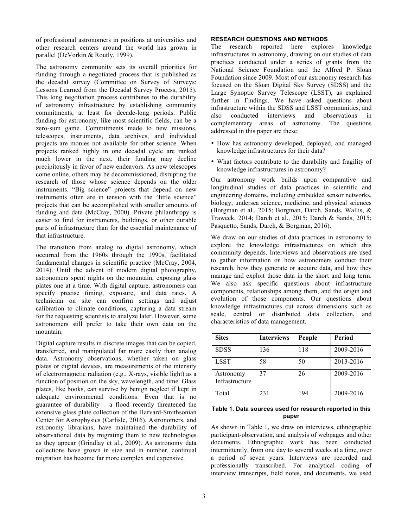of professional astronomers in positions at universities and other research centers around the world has grown in parallel (DeVorkin & Routly, 1999).

The astronomy community sets its overall priorities for funding through a negotiated process that is published as the decadal survey (Committee on Survey of Surveys: Lessons Learned from the Decadal Survey Process, 2015). This long negotiation process contributes to the durability of astronomy infrastructure by establishing community commitments, at least for decade-long periods. Public funding for astronomy, like most scientific fields, can be a zero-sum game. Commitments made to new missions, telescopes, instruments, data archives, and individual projects are monies not available for other science. When projects ranked highly in one decadal cycle are ranked much lower in the next, their funding may decline precipitously in favor of new endeavors. As new telescopes come online, others may be decommissioned, disrupting the research of those whose science depends on the older instruments. "Big science" projects that depend on new instruments often are in tension with the "little science" projects that can be accomplished with smaller amounts of funding and data (McCray, 2000). Private philanthropy is easier to find for instruments, buildings, or other durable parts of infrastructure than for the essential maintenance of that infrastructure.

The transition from analog to digital astronomy, which occurred from the 1960s through the 1990s, facilitated fundamental changes in scientific practice (McCray, 2004, 2014). Until the advent of modern digital photography, astronomers spent nights on the mountain, exposing glass plates one at a time. With digital capture, astronomers can specify precise timing, exposure, and data rates. A technician on site can confirm settings and adjust calibration to climate conditions, capturing a data stream for the requesting scientists to analyze later. However, some astronomers still prefer to take their own data on the mountain.

Digital capture results in discrete images that can be copied, transferred, and manipulated far more easily than analog data. Astronomy observations, whether taken on glass plates or digital devices, are measurements of the intensity of electromagnetic radiation (e.g., X-rays, visible light) as a function of position on the sky, wavelength, and time. Glass plates, like books, can survive by benign neglect if kept in adequate environmental conditions. Even that is no guarantee of durability – a flood recently threatened the extensive glass plate collection of the Harvard-Smithsonian Center for Astrophysics (Carlisle, 2016). Astronomers, and astronomy librarians, have maintained the durability of observational data by migrating them to new technologies as they appear (Grindlay et al., 2009). As astronomy data collections have grown in size and in number, continual migration has become far more complex and expensive.

#### **RESEARCH QUESTIONS AND METHODS**

The research reported here explores knowledge infrastructures in astronomy, drawing on our studies of data practices conducted under a series of grants from the National Science Foundation and the Alfred P. Sloan Foundation since 2009. Most of our astronomy research has focused on the Sloan Digital Sky Survey (SDSS) and the Large Synoptic Survey Telescope (LSST), as explained further in Findings. We have asked questions about infrastructure within the SDSS and LSST communities, and also conducted interviews and observations in complementary areas of astronomy. The questions addressed in this paper are these:

- How has astronomy developed, deployed, and managed knowledge infrastructures for their data?
- What factors contribute to the durability and fragility of knowledge infrastructures in astronomy?

Our astronomy work builds upon comparative and longitudinal studies of data practices in scientific and engineering domains, including embedded sensor networks, biology, undersea science, medicine, and physical sciences (Borgman et al., 2015; Borgman, Darch, Sands, Wallis, & Traweek, 2014; Darch et al., 2015; Darch & Sands, 2015; Pasquetto, Sands, Darch, & Borgman, 2016).

We draw on our studies of data practices in astronomy to explore the knowledge infrastructures on which this community depends. Interviews and observations are used to gather information on how astronomers conduct their research, how they generate or acquire data, and how they manage and exploit those data in the short and long term. We also ask specific questions about infrastructure components, relationships among them, and the origin and evolution of those components. Our questions about knowledge infrastructures cut across dimensions such as scale, central or distributed data collection, and characteristics of data management.

| <b>Sites</b>                | <b>Interviews</b> | People | Period    |
|-----------------------------|-------------------|--------|-----------|
| <b>SDSS</b>                 | 136               | 118    | 2009-2016 |
| <b>LSST</b>                 | 58                | 50     | 2013-2016 |
| Astronomy<br>Infrastructure | 37                | 26     | 2009-2016 |
| Total                       | 231               | 194    | 2009-2016 |

#### **Table 1. Data sources used for research reported in this paper**

As shown in Table 1, we draw on interviews, ethnographic participant-observation, and analysis of webpages and other documents. Ethnographic work has been conducted intermittently, from one day to several weeks at a time, over a period of seven years. Interviews are recorded and professionally transcribed. For analytical coding of interview transcripts, field notes, and documents, we used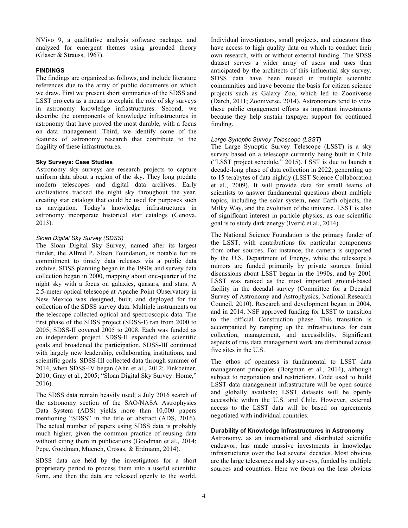NVivo 9, a qualitative analysis software package, and analyzed for emergent themes using grounded theory (Glaser & Strauss, 1967).

# **FINDINGS**

The findings are organized as follows, and include literature references due to the array of public documents on which we draw. First we present short summaries of the SDSS and LSST projects as a means to explain the role of sky surveys in astronomy knowledge infrastructures. Second, we describe the components of knowledge infrastructures in astronomy that have proved the most durable, with a focus on data management. Third, we identify some of the features of astronomy research that contribute to the fragility of these infrastructures.

# **Sky Surveys: Case Studies**

Astronomy sky surveys are research projects to capture uniform data about a region of the sky. They long predate modern telescopes and digital data archives. Early civilizations tracked the night sky throughout the year, creating star catalogs that could be used for purposes such as navigation. Today's knowledge infrastructures in astronomy incorporate historical star catalogs (Genova, 2013).

# *Sloan Digital Sky Survey (SDSS)*

The Sloan Digital Sky Survey, named after its largest funder, the Alfred P. Sloan Foundation, is notable for its commitment to timely data releases via a public data archive. SDSS planning began in the 1990s and survey data collection began in 2000, mapping about one-quarter of the night sky with a focus on galaxies, quasars, and stars. A 2.5-meter optical telescope at Apache Point Observatory in New Mexico was designed, built, and deployed for the collection of the SDSS survey data. Multiple instruments on the telescope collected optical and spectroscopic data. The first phase of the SDSS project (SDSS-I) ran from 2000 to 2005; SDSS-II covered 2005 to 2008. Each was funded as an independent project. SDSS-II expanded the scientific goals and broadened the participation. SDSS-III continued with largely new leadership, collaborating institutions, and scientific goals. SDSS-III collected data through summer of 2014, when SDSS-IV began (Ahn et al., 2012; Finkbeiner, 2010; Gray et al., 2005; "Sloan Digital Sky Survey: Home," 2016).

The SDSS data remain heavily used; a July 2016 search of the astronomy section of the SAO/NASA Astrophysics Data System (ADS) yields more than 10,000 papers mentioning "SDSS" in the title or abstract (ADS, 2016). The actual number of papers using SDSS data is probably much higher, given the common practice of reusing data without citing them in publications (Goodman et al., 2014; Pepe, Goodman, Muench, Crosas, & Erdmann, 2014).

SDSS data are held by the investigators for a short proprietary period to process them into a useful scientific form, and then the data are released openly to the world. Individual investigators, small projects, and educators thus have access to high quality data on which to conduct their own research, with or without external funding. The SDSS dataset serves a wider array of users and uses than anticipated by the architects of this influential sky survey. SDSS data have been reused in multiple scientific communities and have become the basis for citizen science projects such as Galaxy Zoo, which led to Zooniverse (Darch, 2011; Zooniverse, 2014). Astronomers tend to view these public engagement efforts as important investments because they help sustain taxpayer support for continued funding.

# *Large Synoptic Survey Telescope (LSST)*

The Large Synoptic Survey Telescope (LSST) is a sky survey based on a telescope currently being built in Chile ("LSST project schedule," 2015). LSST is due to launch a decade-long phase of data collection in 2022, generating up to 15 terabytes of data nightly (LSST Science Collaboration et al., 2009). It will provide data for small teams of scientists to answer fundamental questions about multiple topics, including the solar system, near Earth objects, the Milky Way, and the evolution of the universe. LSST is also of significant interest in particle physics, as one scientific goal is to study dark energy (Ivezić et al., 2014).

The National Science Foundation is the primary funder of the LSST, with contributions for particular components from other sources. For instance, the camera is supported by the U.S. Department of Energy, while the telescope's mirrors are funded primarily by private sources. Initial discussions about LSST began in the 1990s, and by 2001 LSST was ranked as the most important ground-based facility in the decadal survey (Committee for a Decadal Survey of Astronomy and Astrophysics; National Research Council, 2010). Research and development began in 2004, and in 2014, NSF approved funding for LSST to transition to the official Construction phase. This transition is accompanied by ramping up the infrastructures for data collection, management, and accessibility. Significant aspects of this data management work are distributed across five sites in the U.S.

The ethos of openness is fundamental to LSST data management principles (Borgman et al., 2014), although subject to negotiation and restrictions. Code used to build LSST data management infrastructure will be open source and globally available; LSST datasets will be openly accessible within the U.S. and Chile. However, external access to the LSST data will be based on agreements negotiated with individual countries.

## **Durability of Knowledge Infrastructures in Astronomy**

Astronomy, as an international and distributed scientific endeavor, has made massive investments in knowledge infrastructures over the last several decades. Most obvious are the large telescopes and sky surveys, funded by multiple sources and countries. Here we focus on the less obvious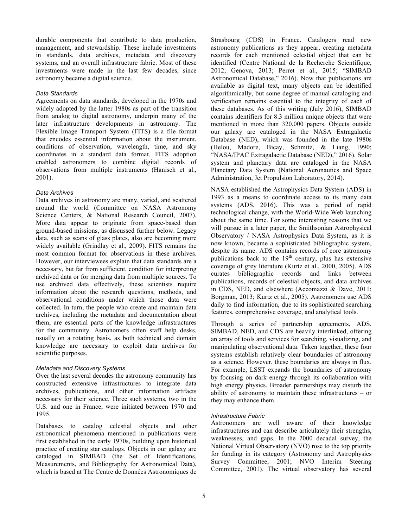durable components that contribute to data production, management, and stewardship. These include investments in standards, data archives, metadata and discovery systems, and an overall infrastructure fabric. Most of these investments were made in the last few decades, since astronomy became a digital science.

## *Data Standards*

Agreements on data standards, developed in the 1970s and widely adopted by the latter 1980s as part of the transition from analog to digital astronomy, underpin many of the later infrastructure developments in astronomy. The Flexible Image Transport System (FITS) is a file format that encodes essential information about the instrument, conditions of observation, wavelength, time, and sky coordinates in a standard data format. FITS adoption enabled astronomers to combine digital records of observations from multiple instruments (Hanisch et al., 2001).

#### *Data Archives*

Data archives in astronomy are many, varied, and scattered around the world (Committee on NASA Astronomy Science Centers, & National Research Council, 2007). More data appear to originate from space-based than ground-based missions, as discussed further below. Legacy data, such as scans of glass plates, also are becoming more widely available (Grindlay et al., 2009). FITS remains the most common format for observations in these archives. However, our interviewees explain that data standards are a necessary, but far from sufficient, condition for interpreting archived data or for merging data from multiple sources. To use archived data effectively, these scientists require information about the research questions, methods, and observational conditions under which those data were collected. In turn, the people who create and maintain data archives, including the metadata and documentation about them, are essential parts of the knowledge infrastructures for the community. Astronomers often staff help desks, usually on a rotating basis, as both technical and domain knowledge are necessary to exploit data archives for scientific purposes.

## *Metadata and Discovery Systems*

Over the last several decades the astronomy community has constructed extensive infrastructures to integrate data archives, publications, and other information artifacts necessary for their science. Three such systems, two in the U.S. and one in France, were initiated between 1970 and 1995.

Databases to catalog celestial objects and other astronomical phenomena mentioned in publications were first established in the early 1970s, building upon historical practice of creating star catalogs. Objects in our galaxy are cataloged in SIMBAD (the Set of Identifications, Measurements, and Bibliography for Astronomical Data), which is based at The Centre de Données Astronomiques de Strasbourg (CDS) in France. Catalogers read new astronomy publications as they appear, creating metadata records for each mentioned celestial object that can be identified (Centre National de la Recherche Scientifique, 2012; Genova, 2013; Perret et al., 2015; "SIMBAD Astronomical Database," 2016). Now that publications are available as digital text, many objects can be identified algorithmically, but some degree of manual cataloging and verification remains essential to the integrity of each of these databases. As of this writing (July 2016), SIMBAD contains identifiers for 8.3 million unique objects that were mentioned in more than 320,000 papers. Objects outside our galaxy are cataloged in the NASA Extragalactic Database (NED), which was founded in the late 1980s (Helou, Madore, Bicay, Schmitz, & Liang, 1990; "NASA/IPAC Extragalactic Database (NED)," 2016). Solar system and planetary data are cataloged in the NASA Planetary Data System (National Aeronautics and Space Administration, Jet Propulsion Laboratory, 2014).

NASA established the Astrophysics Data System (ADS) in 1993 as a means to coordinate access to its many data systems (ADS, 2016). This was a period of rapid technological change, with the World-Wide Web launching about the same time. For some interesting reasons that we will pursue in a later paper, the Smithsonian Astrophysical Observatory / NASA Astrophysics Data System, as it is now known, became a sophisticated bibliographic system, despite its name. ADS contains records of core astronomy publications back to the  $19<sup>th</sup>$  century, plus has extensive coverage of grey literature (Kurtz et al., 2000, 2005). ADS curates bibliographic records and links between publications, records of celestial objects, and data archives in CDS, NED, and elsewhere (Accomazzi & Dave, 2011; Borgman, 2013; Kurtz et al., 2005). Astronomers use ADS daily to find information, due to its sophisticated searching features, comprehensive coverage, and analytical tools.

Through a series of partnership agreements, ADS, SIMBAD, NED, and CDS are heavily interlinked, offering an array of tools and services for searching, visualizing, and manipulating observational data. Taken together, these four systems establish relatively clear boundaries of astronomy as a science. However, these boundaries are always in flux. For example, LSST expands the boundaries of astronomy by focusing on dark energy through its collaboration with high energy physics. Broader partnerships may disturb the ability of astronomy to maintain these infrastructures – or they may enhance them.

## *Infrastructure Fabric*

Astronomers are well aware of their knowledge infrastructures and can describe articulately their strengths, weaknesses, and gaps. In the 2000 decadal survey, the National Virtual Observatory (NVO) rose to the top priority for funding in its category (Astronomy and Astrophysics Survey Committee, 2001; NVO Interim Steering Committee, 2001). The virtual observatory has several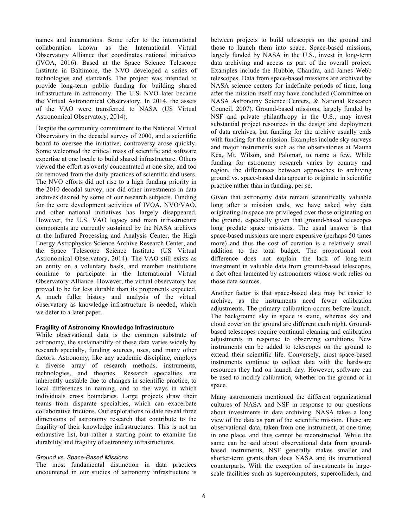names and incarnations. Some refer to the international collaboration known as the International Virtual Observatory Alliance that coordinates national initiatives (IVOA, 2016). Based at the Space Science Telescope Institute in Baltimore, the NVO developed a series of technologies and standards. The project was intended to provide long-term public funding for building shared infrastructure in astronomy. The U.S. NVO later became the Virtual Astronomical Observatory. In 2014, the assets of the VAO were transferred to NASA (US Virtual Astronomical Observatory, 2014).

Despite the community commitment to the National Virtual Observatory in the decadal survey of 2000, and a scientific board to oversee the initiative, controversy arose quickly. Some welcomed the critical mass of scientific and software expertise at one locale to build shared infrastructure. Others viewed the effort as overly concentrated at one site, and too far removed from the daily practices of scientific end users. The NVO efforts did not rise to a high funding priority in the 2010 decadal survey, nor did other investments in data archives desired by some of our research subjects. Funding for the core development activities of IVOA, NVO/VAO, and other national initiatives has largely disappeared. However, the U.S. VAO legacy and main infrastructure components are currently sustained by the NASA archives at the Infrared Processing and Analysis Center, the High Energy Astrophysics Science Archive Research Center, and the Space Telescope Science Institute (US Virtual Astronomical Observatory, 2014). The VAO still exists as an entity on a voluntary basis, and member institutions continue to participate in the International Virtual Observatory Alliance. However, the virtual observatory has proved to be far less durable than its proponents expected. A much fuller history and analysis of the virtual observatory as knowledge infrastructure is needed, which we defer to a later paper.

## **Fragility of Astronomy Knowledge Infrastructure**

While observational data is the common substrate of astronomy, the sustainability of these data varies widely by research specialty, funding sources, uses, and many other factors. Astronomy, like any academic discipline, employs a diverse array of research methods, instruments, technologies, and theories. Research specialties are inherently unstable due to changes in scientific practice, to local differences in naming, and to the ways in which individuals cross boundaries. Large projects draw their teams from disparate specialties, which can exacerbate collaborative frictions. Our explorations to date reveal three dimensions of astronomy research that contribute to the fragility of their knowledge infrastructures. This is not an exhaustive list, but rather a starting point to examine the durability and fragility of astronomy infrastructures.

#### *Ground vs. Space-Based Missions*

The most fundamental distinction in data practices encountered in our studies of astronomy infrastructure is between projects to build telescopes on the ground and those to launch them into space. Space-based missions, largely funded by NASA in the U.S., invest in long-term data archiving and access as part of the overall project. Examples include the Hubble, Chandra, and James Webb telescopes. Data from space-based missions are archived by NASA science centers for indefinite periods of time, long after the mission itself may have concluded (Committee on NASA Astronomy Science Centers, & National Research Council, 2007). Ground-based missions, largely funded by NSF and private philanthropy in the U.S., may invest substantial project resources in the design and deployment of data archives, but funding for the archive usually ends with funding for the mission. Examples include sky surveys and major instruments such as the observatories at Mauna Kea, Mt. Wilson, and Palomar, to name a few. While funding for astronomy research varies by country and region, the differences between approaches to archiving ground vs. space-based data appear to originate in scientific practice rather than in funding, per se.

Given that astronomy data remain scientifically valuable long after a mission ends, we have asked why data originating in space are privileged over those originating on the ground, especially given that ground-based telescopes long predate space missions. The usual answer is that space-based missions are more expensive (perhaps 50 times more) and thus the cost of curation is a relatively small addition to the total budget. The proportional cost difference does not explain the lack of long-term investment in valuable data from ground-based telescopes, a fact often lamented by astronomers whose work relies on those data sources.

Another factor is that space-based data may be easier to archive, as the instruments need fewer calibration adjustments. The primary calibration occurs before launch. The background sky in space is static, whereas sky and cloud cover on the ground are different each night. Groundbased telescopes require continual cleaning and calibration adjustments in response to observing conditions. New instruments can be added to telescopes on the ground to extend their scientific life. Conversely, most space-based instruments continue to collect data with the hardware resources they had on launch day. However, software can be used to modify calibration, whether on the ground or in space.

Many astronomers mentioned the different organizational cultures of NASA and NSF in response to our questions about investments in data archiving. NASA takes a long view of the data as part of the scientific mission. These are observational data, taken from one instrument, at one time, in one place, and thus cannot be reconstructed. While the same can be said about observational data from groundbased instruments, NSF generally makes smaller and shorter-term grants than does NASA and its international counterparts. With the exception of investments in largescale facilities such as supercomputers, supercolliders, and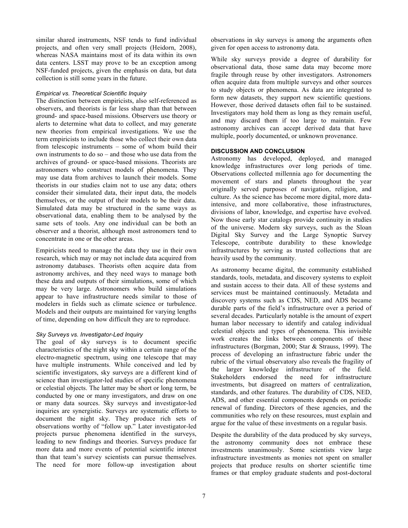similar shared instruments, NSF tends to fund individual projects, and often very small projects (Heidorn, 2008), whereas NASA maintains most of its data within its own data centers. LSST may prove to be an exception among NSF-funded projects, given the emphasis on data, but data collection is still some years in the future.

#### *Empirical vs. Theoretical Scientific Inquiry*

The distinction between empiricists, also self-referenced as observers, and theorists is far less sharp than that between ground- and space-based missions. Observers use theory or alerts to determine what data to collect, and may generate new theories from empirical investigations. We use the term empiricists to include those who collect their own data from telescopic instruments – some of whom build their own instruments to do so – and those who use data from the archives of ground- or space-based missions. Theorists are astronomers who construct models of phenomena. They may use data from archives to launch their models. Some theorists in our studies claim not to use any data; others consider their simulated data, their input data, the models themselves, or the output of their models to be their data. Simulated data may be structured in the same ways as observational data, enabling them to be analysed by the same sets of tools. Any one individual can be both an observer and a theorist, although most astronomers tend to concentrate in one or the other areas.

Empiricists need to manage the data they use in their own research, which may or may not include data acquired from astronomy databases. Theorists often acquire data from astronomy archives, and they need ways to manage both these data and outputs of their simulations, some of which may be very large. Astronomers who build simulations appear to have infrastructure needs similar to those of modelers in fields such as climate science or turbulence. Models and their outputs are maintained for varying lengths of time, depending on how difficult they are to reproduce.

## *Sky Surveys vs. Investigator-Led Inquiry*

The goal of sky surveys is to document specific characteristics of the night sky within a certain range of the electro-magnetic spectrum, using one telescope that may have multiple instruments. While conceived and led by scientific investigators, sky surveys are a different kind of science than investigator-led studies of specific phenomena or celestial objects. The latter may be short or long term, be conducted by one or many investigators, and draw on one or many data sources. Sky surveys and investigator-led inquiries are synergistic. Surveys are systematic efforts to document the night sky. They produce rich sets of observations worthy of "follow up." Later investigator-led projects pursue phenomena identified in the surveys, leading to new findings and theories. Surveys produce far more data and more events of potential scientific interest than that team's survey scientists can pursue themselves. The need for more follow-up investigation about

observations in sky surveys is among the arguments often given for open access to astronomy data.

While sky surveys provide a degree of durability for observational data, those same data may become more fragile through reuse by other investigators. Astronomers often acquire data from multiple surveys and other sources to study objects or phenomena. As data are integrated to form new datasets, they support new scientific questions. However, those derived datasets often fail to be sustained. Investigators may hold them as long as they remain useful, and may discard them if too large to maintain. Few astronomy archives can accept derived data that have multiple, poorly documented, or unknown provenance.

# **DISCUSSION AND CONCLUSION**

Astronomy has developed, deployed, and managed knowledge infrastructures over long periods of time. Observations collected millennia ago for documenting the movement of stars and planets throughout the year originally served purposes of navigation, religion, and culture. As the science has become more digital, more dataintensive, and more collaborative, those infrastructures, divisions of labor, knowledge, and expertise have evolved. Now those early star catalogs provide continuity in studies of the universe. Modern sky surveys, such as the Sloan Digital Sky Survey and the Large Synoptic Survey Telescope, contribute durability to these knowledge infrastructures by serving as trusted collections that are heavily used by the community.

As astronomy became digital, the community established standards, tools, metadata, and discovery systems to exploit and sustain access to their data. All of these systems and services must be maintained continuously. Metadata and discovery systems such as CDS, NED, and ADS became durable parts of the field's infrastructure over a period of several decades. Particularly notable is the amount of expert human labor necessary to identify and catalog individual celestial objects and types of phenomena. This invisible work creates the links between components of these infrastructures (Borgman, 2000; Star & Strauss, 1999). The process of developing an infrastructure fabric under the rubric of the virtual observatory also reveals the fragility of the larger knowledge infrastructure of the field. Stakeholders endorsed the need for infrastructure investments, but disagreed on matters of centralization, standards, and other features. The durability of CDS, NED, ADS, and other essential components depends on periodic renewal of funding. Directors of these agencies, and the communities who rely on these resources, must explain and argue for the value of these investments on a regular basis.

Despite the durability of the data produced by sky surveys, the astronomy community does not embrace these investments unanimously. Some scientists view large infrastructure investments as monies not spent on smaller projects that produce results on shorter scientific time frames or that employ graduate students and post-doctoral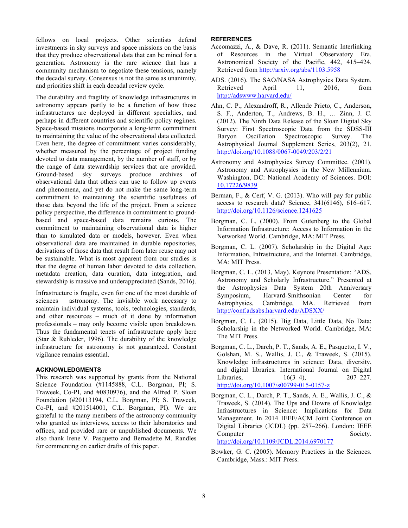fellows on local projects. Other scientists defend investments in sky surveys and space missions on the basis that they produce observational data that can be mined for a generation. Astronomy is the rare science that has a community mechanism to negotiate these tensions, namely the decadal survey. Consensus is not the same as unanimity, and priorities shift in each decadal review cycle.

The durability and fragility of knowledge infrastructures in astronomy appears partly to be a function of how those infrastructures are deployed in different specialties, and perhaps in different countries and scientific policy regimes. Space-based missions incorporate a long-term commitment to maintaining the value of the observational data collected. Even here, the degree of commitment varies considerably, whether measured by the percentage of project funding devoted to data management, by the number of staff, or by the range of data stewardship services that are provided. Ground-based sky surveys produce archives of observational data that others can use to follow up events and phenomena, and yet do not make the same long-term commitment to maintaining the scientific usefulness of those data beyond the life of the project. From a science policy perspective, the difference in commitment to groundbased and space-based data remains curious. The commitment to maintaining observational data is higher than to simulated data or models, however. Even when observational data are maintained in durable repositories, derivations of those data that result from later reuse may not be sustainable. What is most apparent from our studies is that the degree of human labor devoted to data collection, metadata creation, data curation, data integration, and stewardship is massive and underappreciated (Sands, 2016).

Infrastructure is fragile, even for one of the most durable of sciences – astronomy. The invisible work necessary to maintain individual systems, tools, technologies, standards, and other resources – much of it done by information professionals – may only become visible upon breakdown. Thus the fundamental tenets of infrastructure apply here (Star & Ruhleder, 1996). The durability of the knowledge infrastructure for astronomy is not guaranteed. Constant vigilance remains essential.

## **ACKNOWLEDGMENTS**

This research was supported by grants from the National Science Foundation (#1145888, C.L. Borgman, PI; S. Traweek, Co-PI, and #0830976), and the Alfred P. Sloan Foundation (#20113194, C.L. Borgman, PI; S. Traweek, Co-PI, and #201514001, C.L. Borgman, PI). We are grateful to the many members of the astronomy community who granted us interviews, access to their laboratories and offices, and provided rare or unpublished documents. We also thank Irene V. Pasquetto and Bernadette M. Randles for commenting on earlier drafts of this paper.

#### **REFERENCES**

- Accomazzi, A., & Dave, R. (2011). Semantic Interlinking of Resources in the Virtual Observatory Era. Astronomical Society of the Pacific, 442, 415–424. Retrieved from http://arxiv.org/abs/1103.5958
- ADS. (2016). The SAO/NASA Astrophysics Data System. Retrieved April 11, 2016, from http://adswww.harvard.edu/
- Ahn, C. P., Alexandroff, R., Allende Prieto, C., Anderson, S. F., Anderton, T., Andrews, B. H., … Zinn, J. C. (2012). The Ninth Data Release of the Sloan Digital Sky Survey: First Spectroscopic Data from the SDSS-III Baryon Oscillation Spectroscopic Survey. The Astrophysical Journal Supplement Series, 203(2), 21. http://doi.org/10.1088/0067-0049/203/2/21
- Astronomy and Astrophysics Survey Committee. (2001). Astronomy and Astrophysics in the New Millennium. Washington, DC: National Academy of Sciences. DOI: 10.17226/9839
- Berman, F., & Cerf, V. G. (2013). Who will pay for public access to research data? Science, 341(6146), 616–617. http://doi.org/10.1126/science.1241625
- Borgman, C. L. (2000). From Gutenberg to the Global Information Infrastructure: Access to Information in the Networked World. Cambridge, MA: MIT Press.
- Borgman, C. L. (2007). Scholarship in the Digital Age: Information, Infrastructure, and the Internet. Cambridge, MA: MIT Press.
- Borgman, C. L. (2013, May). Keynote Presentation: "ADS, Astronomy and Scholarly Infrastructure." Presented at the Astrophysics Data System 20th Anniversary Symposium, Harvard-Smithsonian Center for Astrophysics, Cambridge, MA. Retrieved from http://conf.adsabs.harvard.edu/ADSXX/
- Borgman, C. L. (2015). Big Data, Little Data, No Data: Scholarship in the Networked World. Cambridge, MA: The MIT Press.
- Borgman, C. L., Darch, P. T., Sands, A. E., Pasquetto, I. V., Golshan, M. S., Wallis, J. C., & Traweek, S. (2015). Knowledge infrastructures in science: Data, diversity, and digital libraries. International Journal on Digital Libraries, 16(3–4), 207–227. http://doi.org/10.1007/s00799-015-0157-z
- Borgman, C. L., Darch, P. T., Sands, A. E., Wallis, J. C., & Traweek, S. (2014). The Ups and Downs of Knowledge Infrastructures in Science: Implications for Data Management. In 2014 IEEE/ACM Joint Conference on Digital Libraries (JCDL) (pp. 257–266). London: IEEE Computer Society. http://doi.org/10.1109/JCDL.2014.6970177

Bowker, G. C. (2005). Memory Practices in the Sciences.

Cambridge, Mass.: MIT Press.

8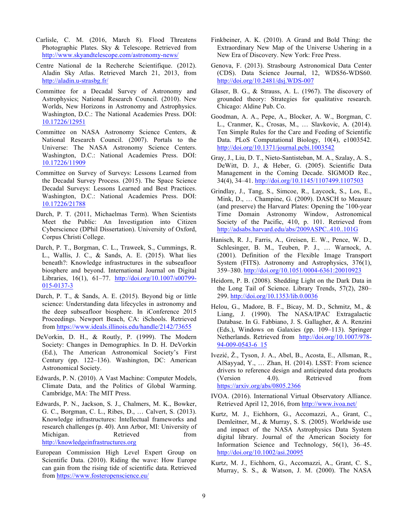- Carlisle, C. M. (2016, March 8). Flood Threatens Photographic Plates. Sky & Telescope. Retrieved from http://www.skyandtelescope.com/astronomy-news/
- Centre National de la Recherche Scientifique. (2012). Aladin Sky Atlas. Retrieved March 21, 2013, from http://aladin.u-strasbg.fr/
- Committee for a Decadal Survey of Astronomy and Astrophysics; National Research Council. (2010). New Worlds, New Horizons in Astronomy and Astrophysics. Washington, D.C.: The National Academies Press. DOI: 10.17226/12951
- Committee on NASA Astronomy Science Centers, & National Research Council. (2007). Portals to the Universe: The NASA Astronomy Science Centers. Washington, D.C.: National Academies Press. DOI: 10.17226/11909
- Committee on Survey of Surveys: Lessons Learned from the Decadal Survey Process. (2015). The Space Science Decadal Surveys: Lessons Learned and Best Practices. Washington, D.C.: National Academies Press. DOI: 10.17226/21788
- Darch, P. T. (2011, Michaelmas Term). When Scientists Meet the Public: An Investigation into Citizen Cyberscience (DPhil Dissertation). University of Oxford, Corpus Christi College.
- Darch, P. T., Borgman, C. L., Traweek, S., Cummings, R. L., Wallis, J. C., & Sands, A. E. (2015). What lies beneath?: Knowledge infrastructures in the subseafloor biosphere and beyond. International Journal on Digital Libraries, 16(1), 61–77. http://doi.org/10.1007/s00799- 015-0137-3
- Darch, P. T., & Sands, A. E. (2015). Beyond big or little science: Understanding data lifecycles in astronomy and the deep subseafloor biosphere. In iConference 2015 Proceedings. Newport Beach, CA: iSchools. Retrieved from https://www.ideals.illinois.edu/handle/2142/73655
- DeVorkin, D. H., & Routly, P. (1999). The Modern Society: Changes in Demographics. In D. H. DeVorkin (Ed.), The American Astronomical Society's First Century (pp. 122–136). Washington, DC: American Astronomical Society.
- Edwards, P. N. (2010). A Vast Machine: Computer Models, Climate Data, and the Politics of Global Warming. Cambridge, MA: The MIT Press.
- Edwards, P. N., Jackson, S. J., Chalmers, M. K., Bowker, G. C., Borgman, C. L., Ribes, D., … Calvert, S. (2013). Knowledge infrastructures: Intellectual frameworks and research challenges (p. 40). Ann Arbor, MI: University of Michigan. Retrieved from http://knowledgeinfrastructures.org
- European Commission High Level Expert Group on Scientific Data. (2010). Riding the wave: How Europe can gain from the rising tide of scientific data. Retrieved from https://www.fosteropenscience.eu/
- Finkbeiner, A. K. (2010). A Grand and Bold Thing: the Extraordinary New Map of the Universe Ushering in a New Era of Discovery. New York: Free Press.
- Genova, F. (2013). Strasbourg Astronomical Data Center (CDS). Data Science Journal, 12, WDS56-WDS60. http://doi.org/10.2481/dsj.WDS-007
- Glaser, B. G., & Strauss, A. L. (1967). The discovery of grounded theory: Strategies for qualitative research. Chicago: Aldine Pub. Co.
- Goodman, A. A., Pepe, A., Blocker, A. W., Borgman, C. L., Cranmer, K., Crosas, M., … Slavkovic, A. (2014). Ten Simple Rules for the Care and Feeding of Scientific Data. PLoS Computational Biology, 10(4), e1003542. http://doi.org/10.1371/journal.pcbi.1003542
- Gray, J., Liu, D. T., Nieto-Santisteban, M. A., Szalay, A. S., DeWitt, D. J., & Heber, G. (2005). Scientific Data Management in the Coming Decade. SIGMOD Rec., 34(4), 34–41. http://doi.org/10.1145/1107499.1107503
- Grindlay, J., Tang, S., Simcoe, R., Laycock, S., Los, E., Mink, D., … Champine, G. (2009). DASCH to Measure (and preserve) the Harvard Plates: Opening the ˜100-year Time Domain Astronomy Window, Astronomical Society of the Pacific, 410, p. 101. Retrieved from http://adsabs.harvard.edu/abs/2009ASPC..410..101G
- Hanisch, R. J., Farris, A., Greisen, E. W., Pence, W. D., Schlesinger, B. M., Teuben, P. J., … Warnock, A. (2001). Definition of the Flexible Image Transport System (FITS). Astronomy and Astrophysics, 376(1), 359–380. http://doi.org/10.1051/0004-6361:20010923
- Heidorn, P. B. (2008). Shedding Light on the Dark Data in the Long Tail of Science. Library Trends, 57(2), 280– 299. http://doi.org/10.1353/lib.0.0036
- Helou, G., Madore, B. F., Bicay, M. D., Schmitz, M., & Liang, J. (1990). The NASA/IPAC Extragalactic Database. In G. Fabbiano, J. S. Gallagher, & A. Renzini (Eds.), Windows on Galaxies (pp. 109–113). Springer Netherlands. Retrieved from http://doi.org/10.1007/978- 94-009-0543-6\_15
- Ivezić, Ž., Tyson, J. A., Abel, B., Acosta, E., Allsman, R., AlSayyad, Y., … Zhan, H. (2014). LSST: From science drivers to reference design and anticipated data products (Version 4.0). Retrieved from https://arxiv.org/abs/0805.2366
- IVOA. (2016). International Virtual Observatory Alliance. Retrieved April 12, 2016, from http://www.ivoa.net/
- Kurtz, M. J., Eichhorn, G., Accomazzi, A., Grant, C., Demleitner, M., & Murray, S. S. (2005). Worldwide use and impact of the NASA Astrophysics Data System digital library. Journal of the American Society for Information Science and Technology, 56(1), 36–45. http://doi.org/10.1002/asi.20095
- Kurtz, M. J., Eichhorn, G., Accomazzi, A., Grant, C. S., Murray, S. S., & Watson, J. M. (2000). The NASA